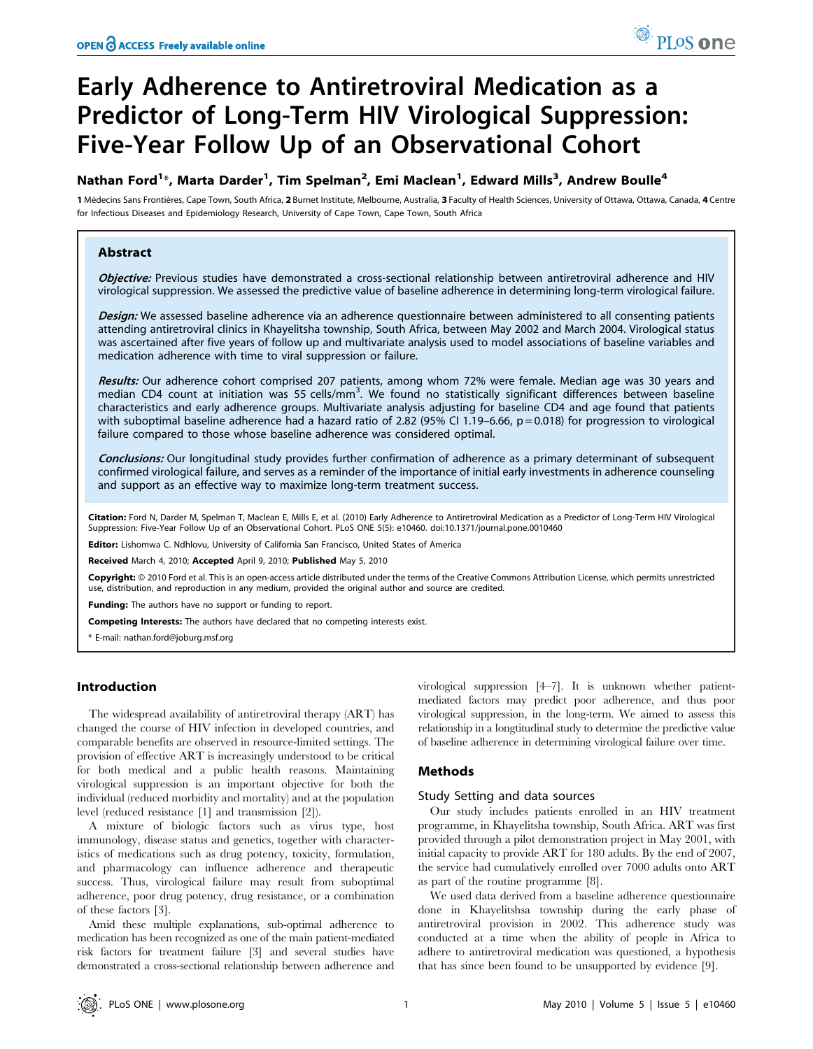# Early Adherence to Antiretroviral Medication as a Predictor of Long-Term HIV Virological Suppression: Five-Year Follow Up of an Observational Cohort

## Nathan Ford<sup>1</sup>\*, Marta Darder<sup>1</sup>, Tim Spelman<sup>2</sup>, Emi Maclean<sup>1</sup>, Edward Mills<sup>3</sup>, Andrew Boulle<sup>4</sup>

1 Médecins Sans Frontières, Cape Town, South Africa, 2 Burnet Institute, Melbourne, Australia, 3 Faculty of Health Sciences, University of Ottawa, Ottawa, Canada, 4 Centre for Infectious Diseases and Epidemiology Research, University of Cape Town, Cape Town, South Africa

## Abstract

Objective: Previous studies have demonstrated a cross-sectional relationship between antiretroviral adherence and HIV virological suppression. We assessed the predictive value of baseline adherence in determining long-term virological failure.

Design: We assessed baseline adherence via an adherence questionnaire between administered to all consenting patients attending antiretroviral clinics in Khayelitsha township, South Africa, between May 2002 and March 2004. Virological status was ascertained after five years of follow up and multivariate analysis used to model associations of baseline variables and medication adherence with time to viral suppression or failure.

Results: Our adherence cohort comprised 207 patients, among whom 72% were female. Median age was 30 years and median CD4 count at initiation was 55 cells/mm<sup>3</sup>. We found no statistically significant differences between baseline characteristics and early adherence groups. Multivariate analysis adjusting for baseline CD4 and age found that patients with suboptimal baseline adherence had a hazard ratio of 2.82 (95% CI 1.19–6.66,  $p = 0.018$ ) for progression to virological failure compared to those whose baseline adherence was considered optimal.

Conclusions: Our longitudinal study provides further confirmation of adherence as a primary determinant of subsequent confirmed virological failure, and serves as a reminder of the importance of initial early investments in adherence counseling and support as an effective way to maximize long-term treatment success.

Citation: Ford N, Darder M, Spelman T, Maclean E, Mills E, et al. (2010) Early Adherence to Antiretroviral Medication as a Predictor of Long-Term HIV Virological Suppression: Five-Year Follow Up of an Observational Cohort. PLoS ONE 5(5): e10460. doi:10.1371/journal.pone.0010460

**Editor:** Lishomwa C. Ndhlovu, University of California San Francisco, United States of America

Received March 4, 2010; Accepted April 9, 2010; Published May 5, 2010

Copyright: © 2010 Ford et al. This is an open-access article distributed under the terms of the Creative Commons Attribution License, which permits unrestricted use, distribution, and reproduction in any medium, provided the original author and source are credited.

Funding: The authors have no support or funding to report.

Competing Interests: The authors have declared that no competing interests exist.

\* E-mail: nathan.ford@joburg.msf.org

## Introduction

The widespread availability of antiretroviral therapy (ART) has changed the course of HIV infection in developed countries, and comparable benefits are observed in resource-limited settings. The provision of effective ART is increasingly understood to be critical for both medical and a public health reasons. Maintaining virological suppression is an important objective for both the individual (reduced morbidity and mortality) and at the population level (reduced resistance [1] and transmission [2]).

A mixture of biologic factors such as virus type, host immunology, disease status and genetics, together with characteristics of medications such as drug potency, toxicity, formulation, and pharmacology can influence adherence and therapeutic success. Thus, virological failure may result from suboptimal adherence, poor drug potency, drug resistance, or a combination of these factors [3].

Amid these multiple explanations, sub-optimal adherence to medication has been recognized as one of the main patient-mediated risk factors for treatment failure [3] and several studies have demonstrated a cross-sectional relationship between adherence and virological suppression [4–7]. It is unknown whether patientmediated factors may predict poor adherence, and thus poor virological suppression, in the long-term. We aimed to assess this relationship in a longtitudinal study to determine the predictive value of baseline adherence in determining virological failure over time.

## Methods

## Study Setting and data sources

Our study includes patients enrolled in an HIV treatment programme, in Khayelitsha township, South Africa. ART was first provided through a pilot demonstration project in May 2001, with initial capacity to provide ART for 180 adults. By the end of 2007, the service had cumulatively enrolled over 7000 adults onto ART as part of the routine programme [8].

We used data derived from a baseline adherence questionnaire done in Khayelitshsa township during the early phase of antiretroviral provision in 2002. This adherence study was conducted at a time when the ability of people in Africa to adhere to antiretroviral medication was questioned, a hypothesis that has since been found to be unsupported by evidence [9].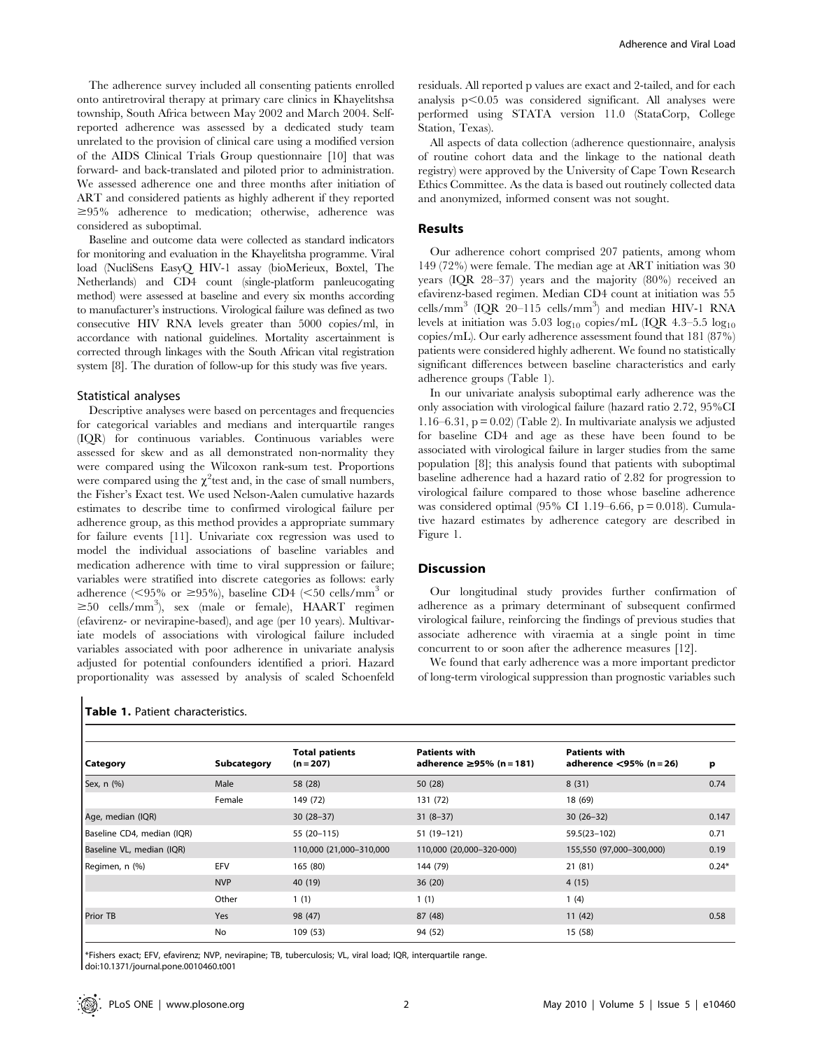The adherence survey included all consenting patients enrolled onto antiretroviral therapy at primary care clinics in Khayelitshsa township, South Africa between May 2002 and March 2004. Selfreported adherence was assessed by a dedicated study team unrelated to the provision of clinical care using a modified version of the AIDS Clinical Trials Group questionnaire [10] that was forward- and back-translated and piloted prior to administration. We assessed adherence one and three months after initiation of ART and considered patients as highly adherent if they reported  $\geq 95\%$  adherence to medication; otherwise, adherence was considered as suboptimal.

Baseline and outcome data were collected as standard indicators for monitoring and evaluation in the Khayelitsha programme. Viral load (NucliSens EasyQ HIV-1 assay (bioMerieux, Boxtel, The Netherlands) and CD4 count (single-platform panleucogating method) were assessed at baseline and every six months according to manufacturer's instructions. Virological failure was defined as two consecutive HIV RNA levels greater than 5000 copies/ml, in accordance with national guidelines. Mortality ascertainment is corrected through linkages with the South African vital registration system [8]. The duration of follow-up for this study was five years.

## Statistical analyses

Descriptive analyses were based on percentages and frequencies for categorical variables and medians and interquartile ranges (IQR) for continuous variables. Continuous variables were assessed for skew and as all demonstrated non-normality they were compared using the Wilcoxon rank-sum test. Proportions were compared using the  $\chi^2$  test and, in the case of small numbers, the Fisher's Exact test. We used Nelson-Aalen cumulative hazards estimates to describe time to confirmed virological failure per adherence group, as this method provides a appropriate summary for failure events [11]. Univariate cox regression was used to model the individual associations of baseline variables and medication adherence with time to viral suppression or failure; variables were stratified into discrete categories as follows: early adherence ( $\leq$ 95% or  $\geq$ 95%), baseline CD4 ( $\leq$ 50 cells/mm<sup>3</sup> or  $\geq$ 50 cells/mm<sup>3</sup>), sex (male or female), HAART regimen (efavirenz- or nevirapine-based), and age (per 10 years). Multivariate models of associations with virological failure included variables associated with poor adherence in univariate analysis adjusted for potential confounders identified a priori. Hazard proportionality was assessed by analysis of scaled Schoenfeld

|  |  | Table 1. Patient characteristics. |
|--|--|-----------------------------------|
|--|--|-----------------------------------|

residuals. All reported p values are exact and 2-tailed, and for each analysis  $p<0.05$  was considered significant. All analyses were performed using STATA version 11.0 (StataCorp, College Station, Texas).

All aspects of data collection (adherence questionnaire, analysis of routine cohort data and the linkage to the national death registry) were approved by the University of Cape Town Research Ethics Committee. As the data is based out routinely collected data and anonymized, informed consent was not sought.

#### Results

Our adherence cohort comprised 207 patients, among whom 149 (72%) were female. The median age at ART initiation was 30 years (IQR 28–37) years and the majority (80%) received an efavirenz-based regimen. Median CD4 count at initiation was 55 cells/mm<sup>3</sup> (IQR 20-115 cells/mm<sup>3</sup>) and median HIV-1 RNA levels at initiation was 5.03  $log_{10}$  copies/mL (IQR 4.3–5.5  $log_{10}$ ) copies/mL). Our early adherence assessment found that 181 (87%) patients were considered highly adherent. We found no statistically significant differences between baseline characteristics and early adherence groups (Table 1).

In our univariate analysis suboptimal early adherence was the only association with virological failure (hazard ratio 2.72, 95%CI 1.16–6.31,  $p = 0.02$  (Table 2). In multivariate analysis we adjusted for baseline CD4 and age as these have been found to be associated with virological failure in larger studies from the same population [8]; this analysis found that patients with suboptimal baseline adherence had a hazard ratio of 2.82 for progression to virological failure compared to those whose baseline adherence was considered optimal (95% CI 1.19–6.66,  $p = 0.018$ ). Cumulative hazard estimates by adherence category are described in Figure 1.

#### **Discussion**

Our longitudinal study provides further confirmation of adherence as a primary determinant of subsequent confirmed virological failure, reinforcing the findings of previous studies that associate adherence with viraemia at a single point in time concurrent to or soon after the adherence measures [12].

We found that early adherence was a more important predictor of long-term virological suppression than prognostic variables such

| Category                   | Subcategory | <b>Total patients</b><br>$(n = 207)$ | <b>Patients with</b><br>adherence $\geq$ 95% (n = 181) | <b>Patients with</b><br>adherence $\leq$ 95% (n = 26) | p       |
|----------------------------|-------------|--------------------------------------|--------------------------------------------------------|-------------------------------------------------------|---------|
| Sex, n (%)                 | Male        | 58 (28)                              | 50 (28)                                                | 8(31)                                                 | 0.74    |
|                            | Female      | 149 (72)                             | 131 (72)                                               | 18 (69)                                               |         |
| Age, median (IQR)          |             | $30(28-37)$                          | $31(8-37)$                                             | $30(26-32)$                                           | 0.147   |
| Baseline CD4, median (IQR) |             | 55 (20-115)                          | 51 (19-121)                                            | 59.5(23-102)                                          | 0.71    |
| Baseline VL, median (IQR)  |             | 110,000 (21,000-310,000              | 110,000 (20,000-320-000)                               | 155,550 (97,000-300,000)                              | 0.19    |
| Regimen, n (%)             | EFV         | 165 (80)                             | 144 (79)                                               | 21(81)                                                | $0.24*$ |
|                            | <b>NVP</b>  | 40 (19)                              | 36(20)                                                 | 4(15)                                                 |         |
|                            | Other       | 1(1)                                 | 1(1)                                                   | 1(4)                                                  |         |
| <b>Prior TB</b>            | <b>Yes</b>  | 98 (47)                              | 87 (48)                                                | 11(42)                                                | 0.58    |
|                            | No          | 109 (53)                             | 94 (52)                                                | 15 (58)                                               |         |

\*Fishers exact; EFV, efavirenz; NVP, nevirapine; TB, tuberculosis; VL, viral load; IQR, interquartile range. doi:10.1371/journal.pone.0010460.t001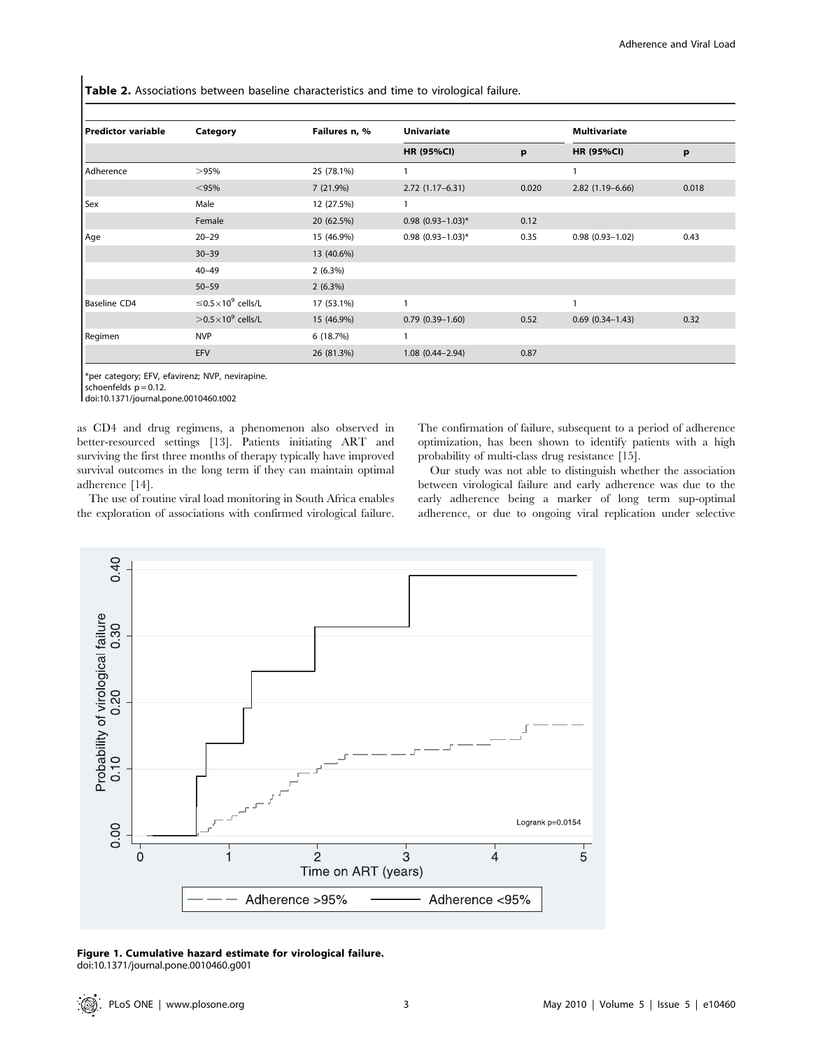Table 2. Associations between baseline characteristics and time to virological failure.

| Predictor variable | Category                                    | Failures n, % | <b>Univariate</b>   |       | <b>Multivariate</b> |       |  |
|--------------------|---------------------------------------------|---------------|---------------------|-------|---------------------|-------|--|
|                    |                                             |               | <b>HR (95%CI)</b>   | p     | <b>HR (95%CI)</b>   | p     |  |
| Adherence          | >95%                                        | 25 (78.1%)    |                     |       | 1                   |       |  |
|                    | $<$ 95%                                     | 7(21.9%)      | $2.72(1.17-6.31)$   | 0.020 | $2.82(1.19-6.66)$   | 0.018 |  |
| Sex                | Male                                        | 12 (27.5%)    | 1                   |       |                     |       |  |
|                    | Female                                      | 20 (62.5%)    | $0.98$ (0.93-1.03)* | 0.12  |                     |       |  |
| Age                | $20 - 29$                                   | 15 (46.9%)    | $0.98$ (0.93-1.03)* | 0.35  | $0.98(0.93 - 1.02)$ | 0.43  |  |
|                    | $30 - 39$                                   | 13 (40.6%)    |                     |       |                     |       |  |
|                    | $40 - 49$                                   | $2(6.3\%)$    |                     |       |                     |       |  |
|                    | $50 - 59$                                   | $2(6.3\%)$    |                     |       |                     |       |  |
| Baseline CD4       | $\leq$ 0.5 $\times$ 10 <sup>9</sup> cells/L | 17 (53.1%)    | 1                   |       | 1                   |       |  |
|                    | $>$ 0.5 $\times$ 10 <sup>9</sup> cells/L    | 15 (46.9%)    | $0.79(0.39 - 1.60)$ | 0.52  | $0.69(0.34 - 1.43)$ | 0.32  |  |
| Regimen            | <b>NVP</b>                                  | 6 (18.7%)     | 1                   |       |                     |       |  |
|                    | EFV                                         | 26 (81.3%)    | $1.08(0.44 - 2.94)$ | 0.87  |                     |       |  |

\*per category; EFV, efavirenz; NVP, nevirapine.

schoenfelds  $p = 0.12$ .

doi:10.1371/journal.pone.0010460.t002

as CD4 and drug regimens, a phenomenon also observed in better-resourced settings [13]. Patients initiating ART and surviving the first three months of therapy typically have improved survival outcomes in the long term if they can maintain optimal adherence [14].

The use of routine viral load monitoring in South Africa enables the exploration of associations with confirmed virological failure.

The confirmation of failure, subsequent to a period of adherence optimization, has been shown to identify patients with a high probability of multi-class drug resistance [15].

Our study was not able to distinguish whether the association between virological failure and early adherence was due to the early adherence being a marker of long term sup-optimal adherence, or due to ongoing viral replication under selective



Figure 1. Cumulative hazard estimate for virological failure. doi:10.1371/journal.pone.0010460.g001